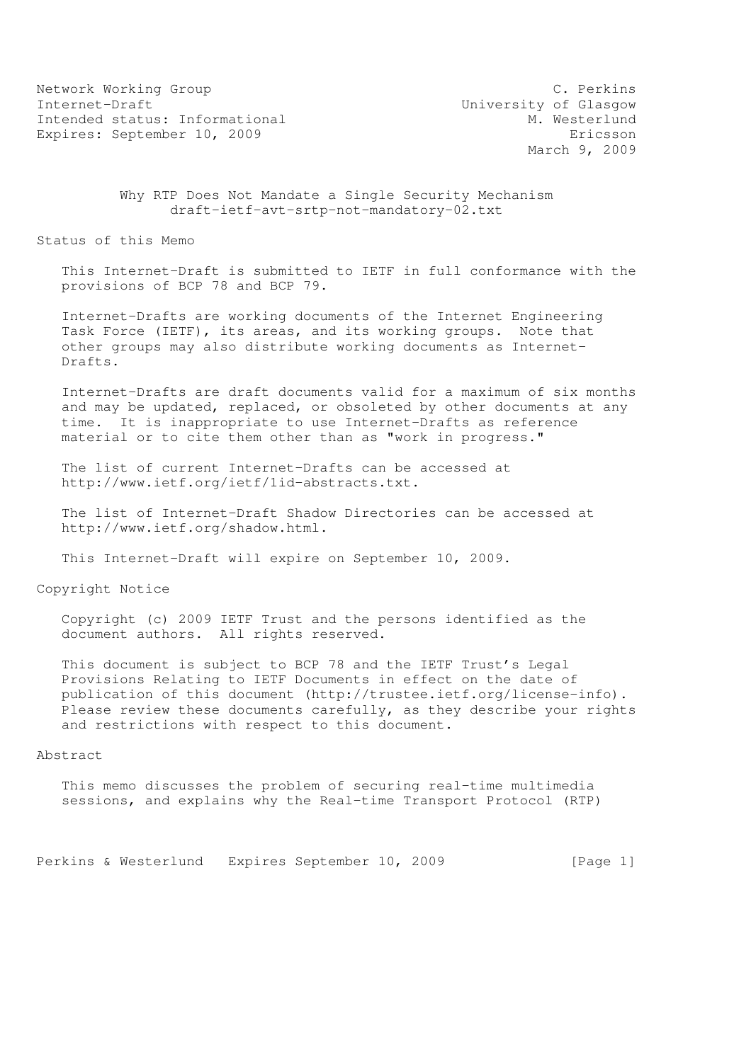Network Working Group C. Perkins<br>
Internet-Draft C. Compared University of Glasgow Intended status: Informational Expires: September 10, 2009 Expires: Expires: September 10, 2009

University of Glasgow<br>M. Westerlund March 9, 2009

 Why RTP Does Not Mandate a Single Security Mechanism draft-ietf-avt-srtp-not-mandatory-02.txt

Status of this Memo

 This Internet-Draft is submitted to IETF in full conformance with the provisions of BCP 78 and BCP 79.

 Internet-Drafts are working documents of the Internet Engineering Task Force (IETF), its areas, and its working groups. Note that other groups may also distribute working documents as Internet- Drafts.

 Internet-Drafts are draft documents valid for a maximum of six months and may be updated, replaced, or obsoleted by other documents at any time. It is inappropriate to use Internet-Drafts as reference material or to cite them other than as "work in progress."

 The list of current Internet-Drafts can be accessed at http://www.ietf.org/ietf/1id-abstracts.txt.

 The list of Internet-Draft Shadow Directories can be accessed at http://www.ietf.org/shadow.html.

This Internet-Draft will expire on September 10, 2009.

Copyright Notice

 Copyright (c) 2009 IETF Trust and the persons identified as the document authors. All rights reserved.

 This document is subject to BCP 78 and the IETF Trust's Legal Provisions Relating to IETF Documents in effect on the date of publication of this document (http://trustee.ietf.org/license-info). Please review these documents carefully, as they describe your rights and restrictions with respect to this document.

### Abstract

 This memo discusses the problem of securing real-time multimedia sessions, and explains why the Real-time Transport Protocol (RTP)

Perkins & Westerlund Expires September 10, 2009 [Page 1]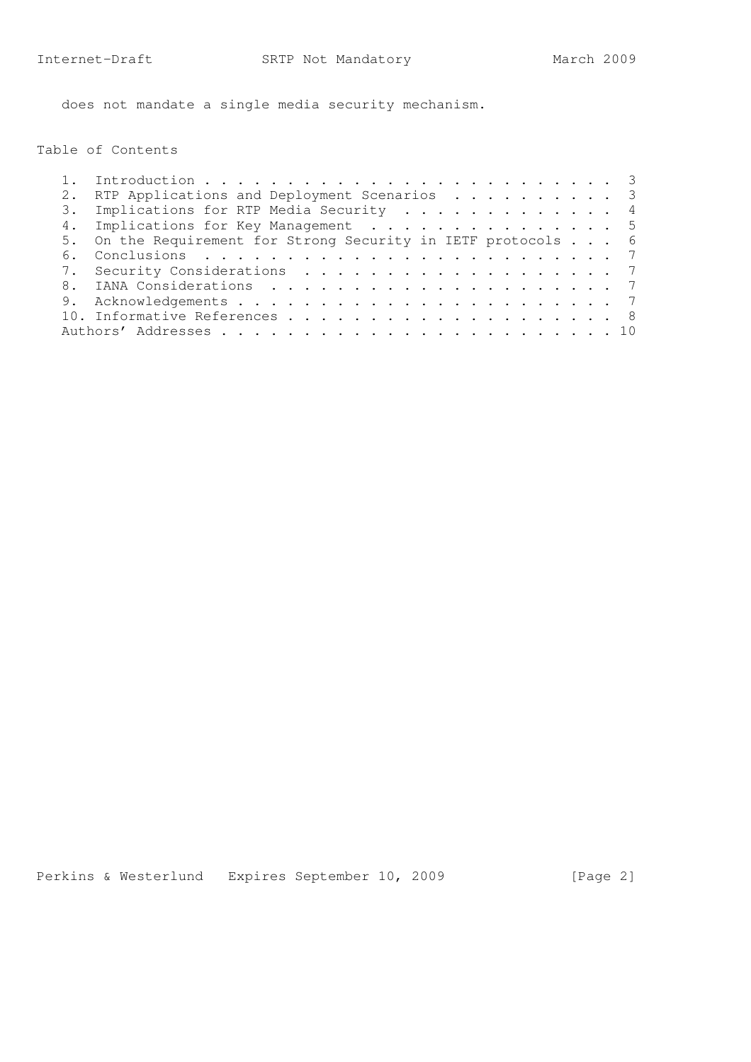does not mandate a single media security mechanism.

Table of Contents

|    | RTP Applications and Deployment Scenarios 3                   |  |
|----|---------------------------------------------------------------|--|
|    | 3. Implications for RTP Media Security 4                      |  |
|    | 4. Implications for Key Management 5                          |  |
|    | 5. On the Requirement for Strong Security in IETF protocols 6 |  |
| 6. |                                                               |  |
|    | 7. Security Considerations 7                                  |  |
|    |                                                               |  |
|    |                                                               |  |
|    |                                                               |  |
|    |                                                               |  |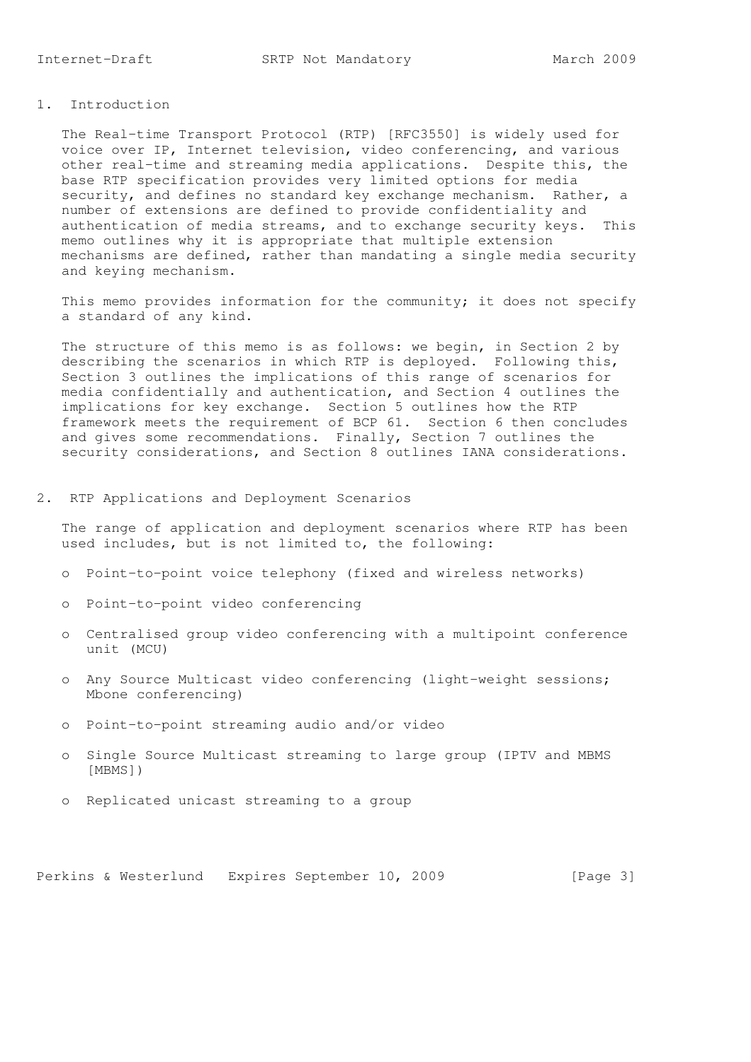# 1. Introduction

 The Real-time Transport Protocol (RTP) [RFC3550] is widely used for voice over IP, Internet television, video conferencing, and various other real-time and streaming media applications. Despite this, the base RTP specification provides very limited options for media security, and defines no standard key exchange mechanism. Rather, a number of extensions are defined to provide confidentiality and authentication of media streams, and to exchange security keys. This memo outlines why it is appropriate that multiple extension mechanisms are defined, rather than mandating a single media security and keying mechanism.

 This memo provides information for the community; it does not specify a standard of any kind.

The structure of this memo is as follows: we begin, in Section 2 by describing the scenarios in which RTP is deployed. Following this, Section 3 outlines the implications of this range of scenarios for media confidentially and authentication, and Section 4 outlines the implications for key exchange. Section 5 outlines how the RTP framework meets the requirement of BCP 61. Section 6 then concludes and gives some recommendations. Finally, Section 7 outlines the security considerations, and Section 8 outlines IANA considerations.

#### 2. RTP Applications and Deployment Scenarios

 The range of application and deployment scenarios where RTP has been used includes, but is not limited to, the following:

- o Point-to-point voice telephony (fixed and wireless networks)
- o Point-to-point video conferencing
- o Centralised group video conferencing with a multipoint conference unit (MCU)
- o Any Source Multicast video conferencing (light-weight sessions; Mbone conferencing)
- o Point-to-point streaming audio and/or video
- o Single Source Multicast streaming to large group (IPTV and MBMS [MBMS])
- o Replicated unicast streaming to a group

Perkins & Westerlund Expires September 10, 2009 [Page 3]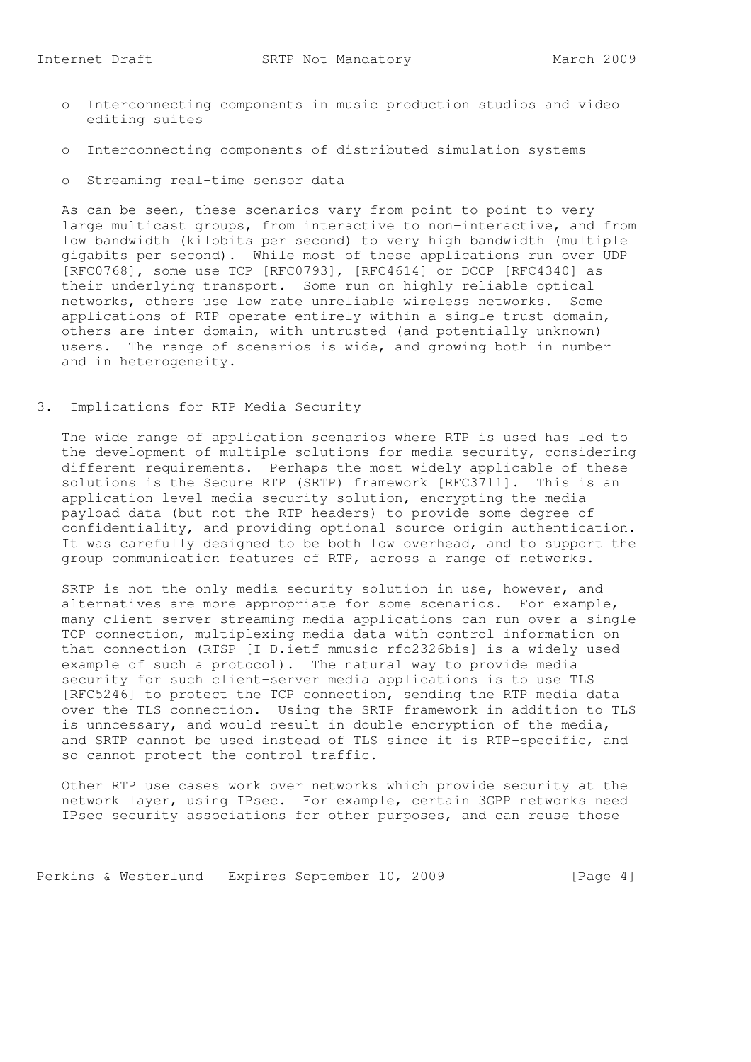- o Interconnecting components in music production studios and video editing suites
- o Interconnecting components of distributed simulation systems
- o Streaming real-time sensor data

 As can be seen, these scenarios vary from point-to-point to very large multicast groups, from interactive to non-interactive, and from low bandwidth (kilobits per second) to very high bandwidth (multiple gigabits per second). While most of these applications run over UDP [RFC0768], some use TCP [RFC0793], [RFC4614] or DCCP [RFC4340] as their underlying transport. Some run on highly reliable optical networks, others use low rate unreliable wireless networks. Some applications of RTP operate entirely within a single trust domain, others are inter-domain, with untrusted (and potentially unknown) users. The range of scenarios is wide, and growing both in number and in heterogeneity.

3. Implications for RTP Media Security

 The wide range of application scenarios where RTP is used has led to the development of multiple solutions for media security, considering different requirements. Perhaps the most widely applicable of these solutions is the Secure RTP (SRTP) framework [RFC3711]. This is an application-level media security solution, encrypting the media payload data (but not the RTP headers) to provide some degree of confidentiality, and providing optional source origin authentication. It was carefully designed to be both low overhead, and to support the group communication features of RTP, across a range of networks.

 SRTP is not the only media security solution in use, however, and alternatives are more appropriate for some scenarios. For example, many client-server streaming media applications can run over a single TCP connection, multiplexing media data with control information on that connection (RTSP [I-D.ietf-mmusic-rfc2326bis] is a widely used example of such a protocol). The natural way to provide media security for such client-server media applications is to use TLS [RFC5246] to protect the TCP connection, sending the RTP media data over the TLS connection. Using the SRTP framework in addition to TLS is unncessary, and would result in double encryption of the media, and SRTP cannot be used instead of TLS since it is RTP-specific, and so cannot protect the control traffic.

 Other RTP use cases work over networks which provide security at the network layer, using IPsec. For example, certain 3GPP networks need IPsec security associations for other purposes, and can reuse those

Perkins & Westerlund Expires September 10, 2009 [Page 4]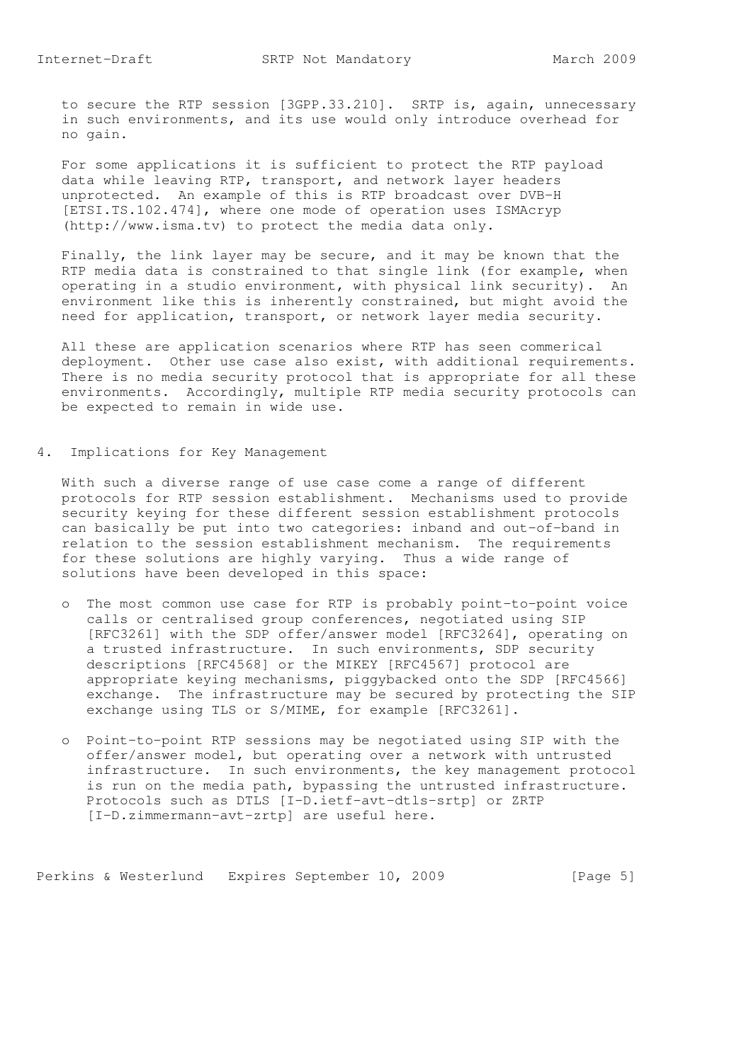to secure the RTP session [3GPP.33.210]. SRTP is, again, unnecessary in such environments, and its use would only introduce overhead for no gain.

 For some applications it is sufficient to protect the RTP payload data while leaving RTP, transport, and network layer headers unprotected. An example of this is RTP broadcast over DVB-H [ETSI.TS.102.474], where one mode of operation uses ISMAcryp (http://www.isma.tv) to protect the media data only.

 Finally, the link layer may be secure, and it may be known that the RTP media data is constrained to that single link (for example, when operating in a studio environment, with physical link security). An environment like this is inherently constrained, but might avoid the need for application, transport, or network layer media security.

 All these are application scenarios where RTP has seen commerical deployment. Other use case also exist, with additional requirements. There is no media security protocol that is appropriate for all these environments. Accordingly, multiple RTP media security protocols can be expected to remain in wide use.

4. Implications for Key Management

 With such a diverse range of use case come a range of different protocols for RTP session establishment. Mechanisms used to provide security keying for these different session establishment protocols can basically be put into two categories: inband and out-of-band in relation to the session establishment mechanism. The requirements for these solutions are highly varying. Thus a wide range of solutions have been developed in this space:

- o The most common use case for RTP is probably point-to-point voice calls or centralised group conferences, negotiated using SIP [RFC3261] with the SDP offer/answer model [RFC3264], operating on a trusted infrastructure. In such environments, SDP security descriptions [RFC4568] or the MIKEY [RFC4567] protocol are appropriate keying mechanisms, piggybacked onto the SDP [RFC4566] exchange. The infrastructure may be secured by protecting the SIP exchange using TLS or S/MIME, for example [RFC3261].
- o Point-to-point RTP sessions may be negotiated using SIP with the offer/answer model, but operating over a network with untrusted infrastructure. In such environments, the key management protocol is run on the media path, bypassing the untrusted infrastructure. Protocols such as DTLS [I-D.ietf-avt-dtls-srtp] or ZRTP [I-D.zimmermann-avt-zrtp] are useful here.

Perkins & Westerlund Expires September 10, 2009 [Page 5]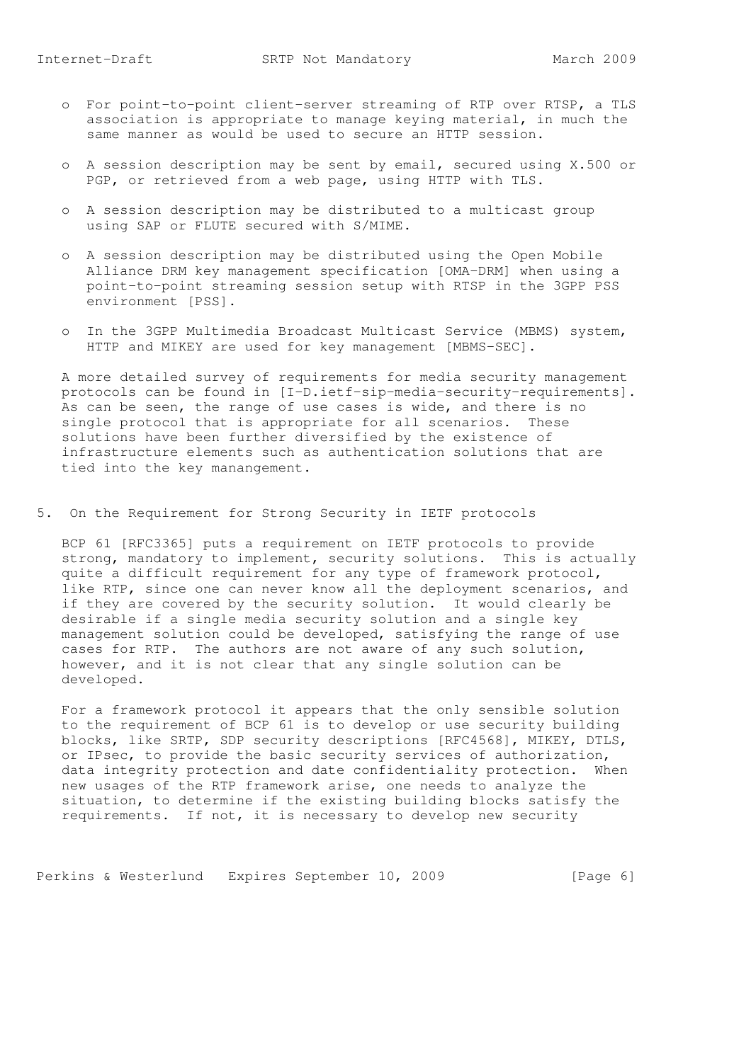- o For point-to-point client-server streaming of RTP over RTSP, a TLS association is appropriate to manage keying material, in much the same manner as would be used to secure an HTTP session.
- o A session description may be sent by email, secured using X.500 or PGP, or retrieved from a web page, using HTTP with TLS.
- o A session description may be distributed to a multicast group using SAP or FLUTE secured with S/MIME.
- o A session description may be distributed using the Open Mobile Alliance DRM key management specification [OMA-DRM] when using a point-to-point streaming session setup with RTSP in the 3GPP PSS environment [PSS].
- o In the 3GPP Multimedia Broadcast Multicast Service (MBMS) system, HTTP and MIKEY are used for key management [MBMS-SEC].

 A more detailed survey of requirements for media security management protocols can be found in [I-D.ietf-sip-media-security-requirements]. As can be seen, the range of use cases is wide, and there is no single protocol that is appropriate for all scenarios. These solutions have been further diversified by the existence of infrastructure elements such as authentication solutions that are tied into the key manangement.

5. On the Requirement for Strong Security in IETF protocols

 BCP 61 [RFC3365] puts a requirement on IETF protocols to provide strong, mandatory to implement, security solutions. This is actually quite a difficult requirement for any type of framework protocol, like RTP, since one can never know all the deployment scenarios, and if they are covered by the security solution. It would clearly be desirable if a single media security solution and a single key management solution could be developed, satisfying the range of use cases for RTP. The authors are not aware of any such solution, however, and it is not clear that any single solution can be developed.

 For a framework protocol it appears that the only sensible solution to the requirement of BCP 61 is to develop or use security building blocks, like SRTP, SDP security descriptions [RFC4568], MIKEY, DTLS, or IPsec, to provide the basic security services of authorization, data integrity protection and date confidentiality protection. When new usages of the RTP framework arise, one needs to analyze the situation, to determine if the existing building blocks satisfy the requirements. If not, it is necessary to develop new security

Perkins & Westerlund Expires September 10, 2009 [Page 6]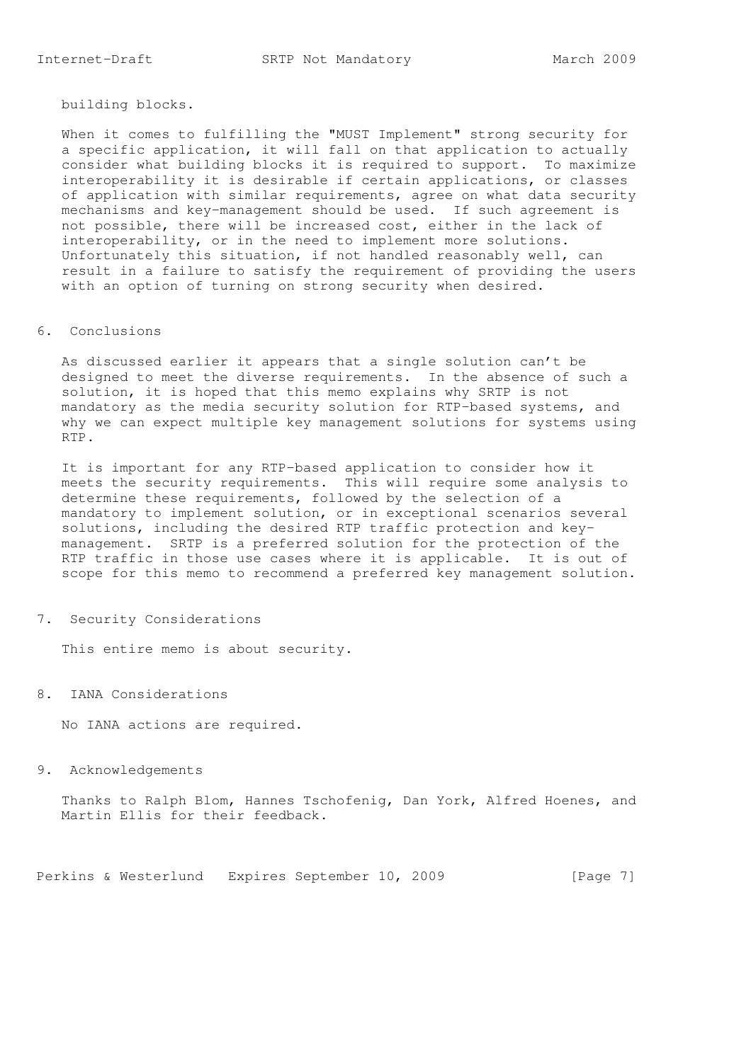building blocks.

 When it comes to fulfilling the "MUST Implement" strong security for a specific application, it will fall on that application to actually consider what building blocks it is required to support. To maximize interoperability it is desirable if certain applications, or classes of application with similar requirements, agree on what data security mechanisms and key-management should be used. If such agreement is not possible, there will be increased cost, either in the lack of interoperability, or in the need to implement more solutions. Unfortunately this situation, if not handled reasonably well, can result in a failure to satisfy the requirement of providing the users with an option of turning on strong security when desired.

### 6. Conclusions

 As discussed earlier it appears that a single solution can't be designed to meet the diverse requirements. In the absence of such a solution, it is hoped that this memo explains why SRTP is not mandatory as the media security solution for RTP-based systems, and why we can expect multiple key management solutions for systems using RTP.

 It is important for any RTP-based application to consider how it meets the security requirements. This will require some analysis to determine these requirements, followed by the selection of a mandatory to implement solution, or in exceptional scenarios several solutions, including the desired RTP traffic protection and key management. SRTP is a preferred solution for the protection of the RTP traffic in those use cases where it is applicable. It is out of scope for this memo to recommend a preferred key management solution.

### 7. Security Considerations

This entire memo is about security.

# 8. IANA Considerations

No IANA actions are required.

## 9. Acknowledgements

 Thanks to Ralph Blom, Hannes Tschofenig, Dan York, Alfred Hoenes, and Martin Ellis for their feedback.

Perkins & Westerlund Expires September 10, 2009 [Page 7]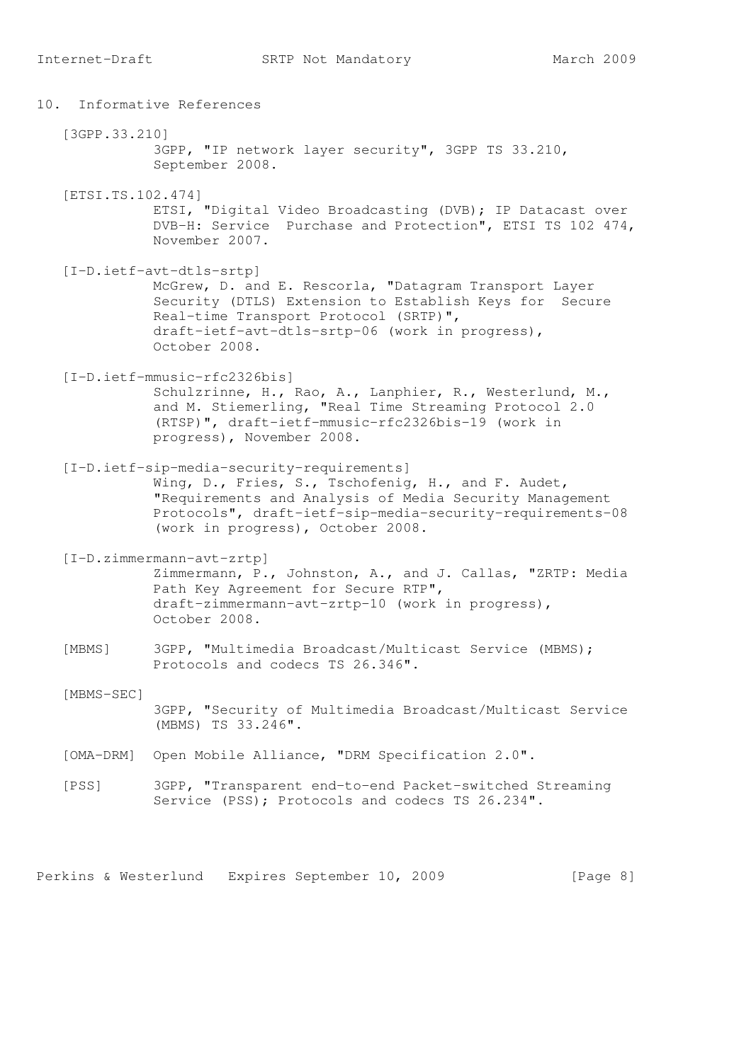10. Informative References [3GPP.33.210] 3GPP, "IP network layer security", 3GPP TS 33.210, September 2008. [ETSI.TS.102.474] ETSI, "Digital Video Broadcasting (DVB); IP Datacast over DVB-H: Service Purchase and Protection", ETSI TS 102 474, November 2007. [I-D.ietf-avt-dtls-srtp] McGrew, D. and E. Rescorla, "Datagram Transport Layer Security (DTLS) Extension to Establish Keys for Secure Real-time Transport Protocol (SRTP)", draft-ietf-avt-dtls-srtp-06 (work in progress), October 2008. [I-D.ietf-mmusic-rfc2326bis] Schulzrinne, H., Rao, A., Lanphier, R., Westerlund, M., and M. Stiemerling, "Real Time Streaming Protocol 2.0 (RTSP)", draft-ietf-mmusic-rfc2326bis-19 (work in progress), November 2008. [I-D.ietf-sip-media-security-requirements] Wing, D., Fries, S., Tschofenig, H., and F. Audet, "Requirements and Analysis of Media Security Management Protocols", draft-ietf-sip-media-security-requirements-08 (work in progress), October 2008. [I-D.zimmermann-avt-zrtp] Zimmermann, P., Johnston, A., and J. Callas, "ZRTP: Media Path Key Agreement for Secure RTP", draft-zimmermann-avt-zrtp-10 (work in progress), October 2008. [MBMS] 3GPP, "Multimedia Broadcast/Multicast Service (MBMS); Protocols and codecs TS 26.346". [MBMS-SEC] 3GPP, "Security of Multimedia Broadcast/Multicast Service (MBMS) TS 33.246". [OMA-DRM] Open Mobile Alliance, "DRM Specification 2.0". [PSS] 3GPP, "Transparent end-to-end Packet-switched Streaming Service (PSS); Protocols and codecs TS 26.234".

Perkins & Westerlund Expires September 10, 2009 [Page 8]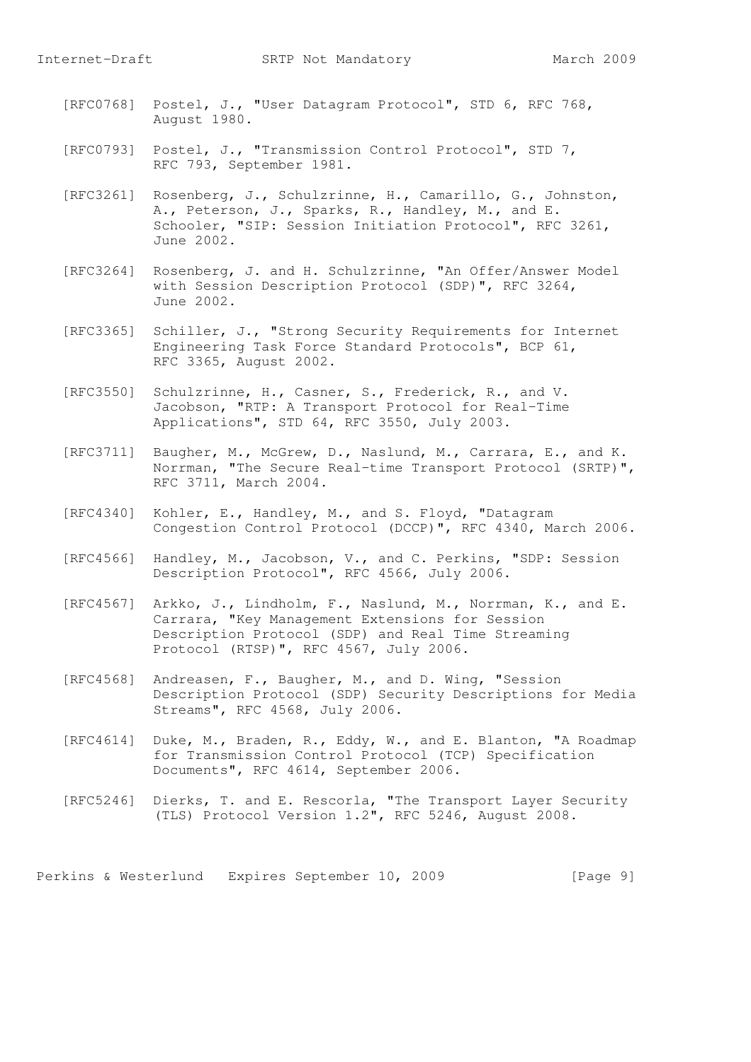- [RFC0768] Postel, J., "User Datagram Protocol", STD 6, RFC 768, August 1980.
- [RFC0793] Postel, J., "Transmission Control Protocol", STD 7, RFC 793, September 1981.
- [RFC3261] Rosenberg, J., Schulzrinne, H., Camarillo, G., Johnston, A., Peterson, J., Sparks, R., Handley, M., and E. Schooler, "SIP: Session Initiation Protocol", RFC 3261, June 2002.
- [RFC3264] Rosenberg, J. and H. Schulzrinne, "An Offer/Answer Model with Session Description Protocol (SDP)", RFC 3264, June 2002.
- [RFC3365] Schiller, J., "Strong Security Requirements for Internet Engineering Task Force Standard Protocols", BCP 61, RFC 3365, August 2002.
- [RFC3550] Schulzrinne, H., Casner, S., Frederick, R., and V. Jacobson, "RTP: A Transport Protocol for Real-Time Applications", STD 64, RFC 3550, July 2003.
- [RFC3711] Baugher, M., McGrew, D., Naslund, M., Carrara, E., and K. Norrman, "The Secure Real-time Transport Protocol (SRTP)", RFC 3711, March 2004.
- [RFC4340] Kohler, E., Handley, M., and S. Floyd, "Datagram Congestion Control Protocol (DCCP)", RFC 4340, March 2006.
- [RFC4566] Handley, M., Jacobson, V., and C. Perkins, "SDP: Session Description Protocol", RFC 4566, July 2006.
	- [RFC4567] Arkko, J., Lindholm, F., Naslund, M., Norrman, K., and E. Carrara, "Key Management Extensions for Session Description Protocol (SDP) and Real Time Streaming Protocol (RTSP)", RFC 4567, July 2006.
	- [RFC4568] Andreasen, F., Baugher, M., and D. Wing, "Session Description Protocol (SDP) Security Descriptions for Media Streams", RFC 4568, July 2006.
	- [RFC4614] Duke, M., Braden, R., Eddy, W., and E. Blanton, "A Roadmap for Transmission Control Protocol (TCP) Specification Documents", RFC 4614, September 2006.
	- [RFC5246] Dierks, T. and E. Rescorla, "The Transport Layer Security (TLS) Protocol Version 1.2", RFC 5246, August 2008.

Perkins & Westerlund Expires September 10, 2009 [Page 9]